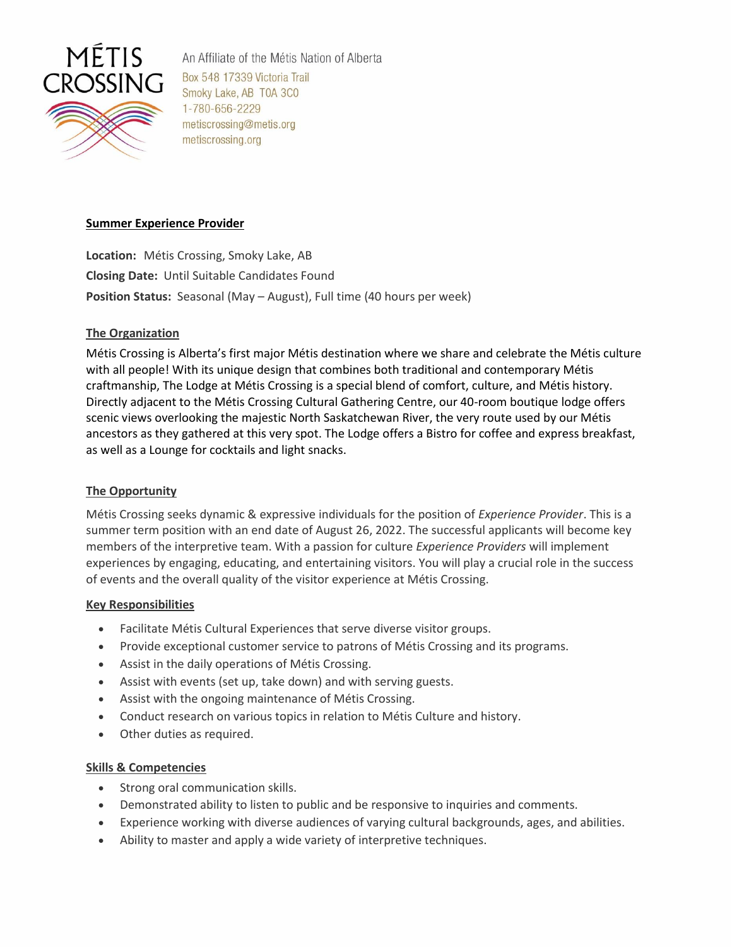

An Affiliate of the Métis Nation of Alberta Box 548 17339 Victoria Trail Smoky Lake, AB T0A 3C0 1-780-656-2229 metiscrossing@metis.org metiscrossing.org

### **Summer Experience Provider**

**Location:** Métis Crossing, Smoky Lake, AB **Closing Date:** Until Suitable Candidates Found **Position Status:** Seasonal (May – August), Full time (40 hours per week)

# **The Organization**

Métis Crossing is Alberta's first major Métis destination where we share and celebrate the Métis culture with all people! With its unique design that combines both traditional and contemporary Métis craftmanship, The Lodge at Métis Crossing is a special blend of comfort, culture, and Métis history. Directly adjacent to the Métis Crossing Cultural Gathering Centre, our 40-room boutique lodge offers scenic views overlooking the majestic North Saskatchewan River, the very route used by our Métis ancestors as they gathered at this very spot. The Lodge offers a Bistro for coffee and express breakfast, as well as a Lounge for cocktails and light snacks.

# **The Opportunity**

Métis Crossing seeks dynamic & expressive individuals for the position of *Experience Provider*. This is a summer term position with an end date of August 26, 2022. The successful applicants will become key members of the interpretive team. With a passion for culture *Experience Providers* will implement experiences by engaging, educating, and entertaining visitors. You will play a crucial role in the success of events and the overall quality of the visitor experience at Métis Crossing.

### **Key Responsibilities**

- Facilitate Métis Cultural Experiences that serve diverse visitor groups.
- Provide exceptional customer service to patrons of Métis Crossing and its programs.
- Assist in the daily operations of Métis Crossing.
- Assist with events (set up, take down) and with serving guests.
- Assist with the ongoing maintenance of Métis Crossing.
- Conduct research on various topics in relation to Métis Culture and history.
- Other duties as required.

### **Skills & Competencies**

- Strong oral communication skills.
- Demonstrated ability to listen to public and be responsive to inquiries and comments.
- Experience working with diverse audiences of varying cultural backgrounds, ages, and abilities.
- Ability to master and apply a wide variety of interpretive techniques.